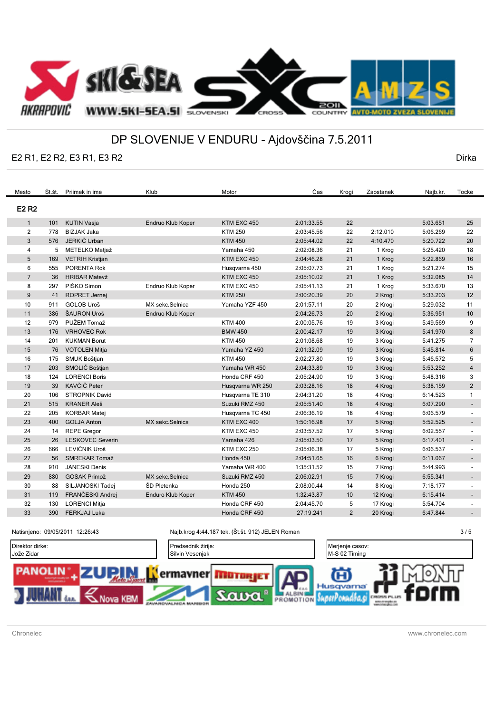

## DP SLOVENIJE V ENDURU - Ajdovščina 7.5.2011

## E2 R1, E2 R2, E3 R1, E3 R2

Dirka

| Mesto          | Št.št. | Priimek in ime          | Klub              | Motor            | Čas        | Krogi          | Zaostanek | Najb.kr. | Tocke                    |
|----------------|--------|-------------------------|-------------------|------------------|------------|----------------|-----------|----------|--------------------------|
| E2 R2          |        |                         |                   |                  |            |                |           |          |                          |
| $\mathbf{1}$   | 101    | <b>KUTIN Vasja</b>      | Endruo Klub Koper | KTM EXC 450      | 2:01:33.55 | 22             |           | 5:03.651 | 25                       |
| $\overline{2}$ | 778    | <b>BIZJAK Jaka</b>      |                   | <b>KTM 250</b>   | 2:03:45.56 | 22             | 2:12.010  | 5:06.269 | 22                       |
| 3              | 576    | JERKIČ Urban            |                   | <b>KTM 450</b>   | 2:05:44.02 | 22             | 4:10.470  | 5:20.722 | 20                       |
| 4              | 5      | METELKO Matjaž          |                   | Yamaha 450       | 2:02:08.36 | 21             | 1 Krog    | 5:25.420 | 18                       |
| 5              | 169    | <b>VETRIH Kristjan</b>  |                   | KTM EXC 450      | 2:04:46.28 | 21             | 1 Krog    | 5:22.869 | 16                       |
| 6              | 555    | PORENTA Rok             |                   | Husqvarna 450    | 2:05:07.73 | 21             | 1 Krog    | 5:21.274 | 15                       |
| $\overline{7}$ | 36     | <b>HRIBAR Matevž</b>    |                   | KTM EXC 450      | 2:05:10.02 | 21             | 1 Krog    | 5:32.085 | 14                       |
| 8              | 297    | PIŠKO Simon             | Endruo Klub Koper | KTM EXC 450      | 2:05:41.13 | 21             | 1 Krog    | 5:33.670 | 13                       |
| 9              | 41     | <b>ROPRET Jernei</b>    |                   | <b>KTM 250</b>   | 2:00:20.39 | 20             | 2 Krogi   | 5:33.203 | 12                       |
| 10             | 911    | <b>GOLOB Uroš</b>       | MX sekc.Selnica   | Yamaha YZF 450   | 2:01:57.11 | 20             | 2 Krogi   | 5:29.032 | 11                       |
| 11             | 386    | ŠAURON Uroš             | Endruo Klub Koper |                  | 2:04:26.73 | 20             | 2 Krogi   | 5:36.951 | $10$                     |
| 12             | 979    | PUŽEM Tomaž             |                   | <b>KTM 400</b>   | 2:00:05.76 | 19             | 3 Krogi   | 5:49.569 | 9                        |
| 13             | 176    | <b>VRHOVEC Rok</b>      |                   | <b>BMW 450</b>   | 2:00:42.17 | 19             | 3 Krogi   | 5:41.970 | 8                        |
| 14             | 201    | <b>KUKMAN Borut</b>     |                   | <b>KTM 450</b>   | 2:01:08.68 | 19             | 3 Krogi   | 5:41.275 | 7                        |
| 15             | 76     | <b>VOTOLEN Mitja</b>    |                   | Yamaha YZ 450    | 2:01:32.09 | 19             | 3 Krogi   | 5:45.814 | 6                        |
| 16             | 175    | SMUK Boštjan            |                   | <b>KTM 450</b>   | 2:02:27.80 | 19             | 3 Krogi   | 5:46.572 | 5                        |
| 17             | 203    | SMOLIČ Boštjan          |                   | Yamaha WR 450    | 2:04:33.89 | 19             | 3 Krogi   | 5:53.252 | $\overline{4}$           |
| 18             | 124    | <b>LORENCI Boris</b>    |                   | Honda CRF 450    | 2:05:24.90 | 19             | 3 Krogi   | 5:48.316 | 3                        |
| 19             | 39     | KAVČIČ Peter            |                   | Husqvarna WR 250 | 2:03:28.16 | 18             | 4 Krogi   | 5:38.159 | $\overline{2}$           |
| 20             | 106    | <b>STROPNIK David</b>   |                   | Husqvarna TE 310 | 2:04:31.20 | 18             | 4 Krogi   | 6:14.523 | $\mathbf{1}$             |
| 21             | 515    | <b>KRANER Aleš</b>      |                   | Suzuki RMZ 450   | 2:05:51.40 | 18             | 4 Krogi   | 6:07.290 | $\sim$                   |
| 22             | 205    | <b>KORBAR Matej</b>     |                   | Husqvarna TC 450 | 2:06:36.19 | 18             | 4 Krogi   | 6:06.579 |                          |
| 23             | 400    | <b>GOLJA Anton</b>      | MX sekc.Selnica   | KTM EXC 400      | 1:50:16.98 | 17             | 5 Krogi   | 5:52.525 | $\blacksquare$           |
| 24             | 14     | <b>REPE Gregor</b>      |                   | KTM EXC 450      | 2:03:57.52 | 17             | 5 Krogi   | 6:02.557 |                          |
| 25             | 26     | <b>LESKOVEC Severin</b> |                   | Yamaha 426       | 2:05:03.50 | 17             | 5 Krogi   | 6:17.401 | $\sim$                   |
| 26             | 666    | LEVIČNIK Uroš           |                   | KTM EXC 250      | 2:05:06.38 | 17             | 5 Krogi   | 6:06.537 |                          |
| 27             | 56     | <b>SMREKAR Tomaž</b>    |                   | Honda 450        | 2:04:51.65 | 16             | 6 Krogi   | 6:11.067 | $\sim$                   |
| 28             | 910    | <b>JANESKI Denis</b>    |                   | Yamaha WR 400    | 1:35:31.52 | 15             | 7 Krogi   | 5:44.993 | $\overline{\phantom{a}}$ |
| 29             | 880    | <b>GOSAK Primož</b>     | MX sekc.Selnica   | Suzuki RMZ 450   | 2:06:02.91 | 15             | 7 Krogi   | 6:55.341 | $\sim$                   |
| 30             | 88     | SILJANOSKI Tadej        | ŠD Pletenka       | Honda 250        | 2:08:00.44 | 14             | 8 Krogi   | 7:18.177 | $\blacksquare$           |
| 31             | 119    | FRANČESKI Andrej        | Enduro Klub Koper | <b>KTM 450</b>   | 1:32:43.87 | 10             | 12 Krogi  | 6:15.414 | $\sim$ 10 $\pm$          |
| 32             | 130    | <b>LORENCI Mitja</b>    |                   | Honda CRF 450    | 2:04:45.70 | 5              | 17 Krogi  | 5:54.704 | $\overline{\phantom{a}}$ |
| 33             | 390    | <b>FERKJAJ Luka</b>     |                   | Honda CRF 450    | 27:19.241  | $\overline{2}$ | 20 Krogi  | 6:47.844 | $\sim$                   |
|                |        |                         |                   |                  |            |                |           |          |                          |